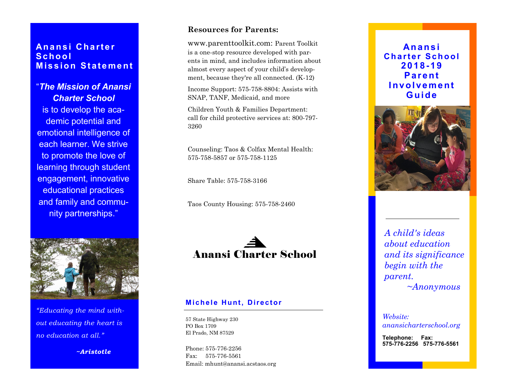### **An a n s i C h a r t e r Sc h o o l Mission Statement**

"*The Mission of Anansi Charter School* is to develop the academic potential and emotional intelligence of each learner. We strive to promote the love of learning through student engagement, innovative educational practices and family and community partnerships."



*"Educating the mind without educating the heart is no education at all."*

 *~Aristotle*

#### **Resources for Parents:**

www.parenttoolkit.com: Parent Toolkit is a one -stop resource developed with parents in mind, and includes information about almost every aspect of your child's development, because they're all connected. (K-12)

Income Support: 575 -758 -8804: Assists with SNAP, TANF, Medicaid, and more

Children Youth & Families Department: call for child protective services at: 800 -797 - 3260

Counseling: Taos & Colfax Mental Health: 575 -758 -5857 or 575 -758 -1125

Share Table: 575 -758 -3166

Taos County Housing: 575 -758 -2460



#### **Michele Hunt, Director**

57 State Highway 230 PO Box 1709 El Prado, NM 87529

Phone: 575-776-2256 Fax: 575 -776 -5561 Email: mhunt@anansi.acstaos.org

**An a n s i Charter School 2018 -1 9 P ar e n t I n vo l ve me n t G u i de**



*A child's ideas about education and its significance begin with the parent. ~Anonymous*

*Website: anansicharterschool.org*

**Telephone: Fax: 575 -776 -2256 575 -776 -5561**